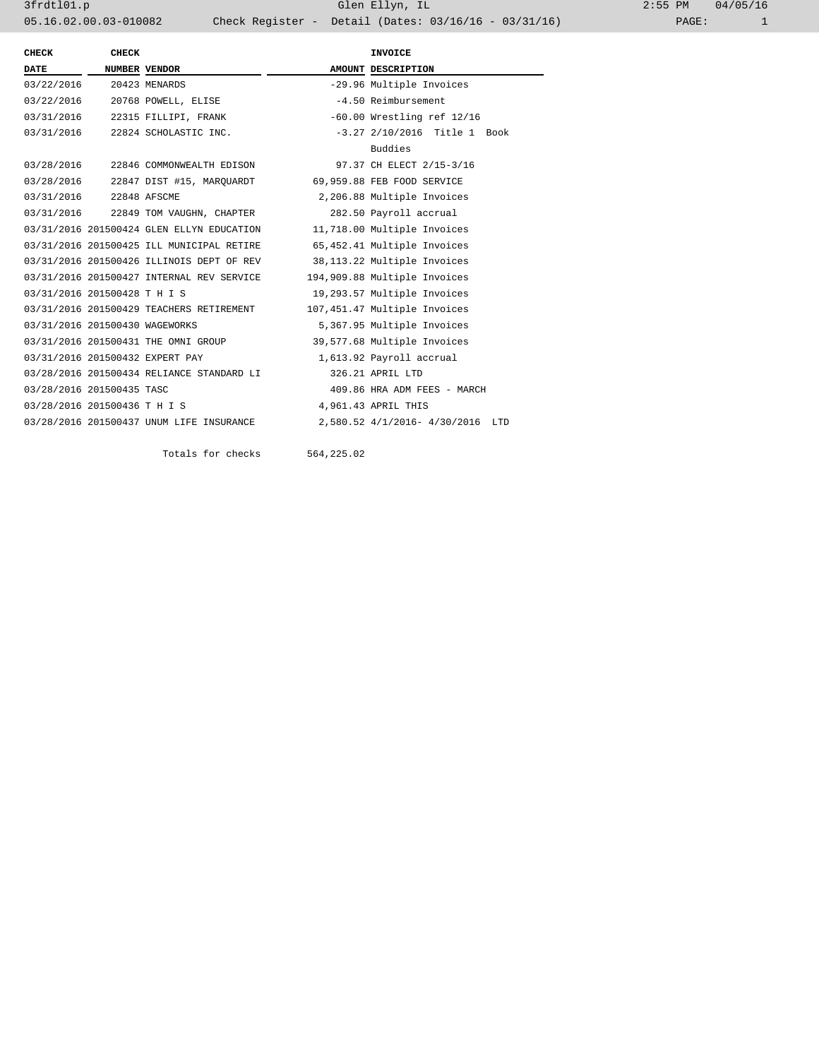3frdtl01.p Glen Ellyn, IL 2:55 PM 04/05/16 05.16.02.00.03-010082 Check Register - Detail (Dates: 03/16/16 - 03/31/16)

| CHECK                          | CHECK                |                                           | INVOICE                          |
|--------------------------------|----------------------|-------------------------------------------|----------------------------------|
| <b>DATE</b>                    | <b>NUMBER VENDOR</b> |                                           | AMOUNT DESCRIPTION               |
| 03/22/2016 20423 MENARDS       |                      |                                           | -29.96 Multiple Invoices         |
|                                |                      | 03/22/2016 20768 POWELL, ELISE            | -4.50 Reimbursement              |
|                                |                      | 03/31/2016 22315 FILLIPI, FRANK           | $-60.00$ Wrestling ref $12/16$   |
|                                |                      | 03/31/2016 22824 SCHOLASTIC INC.          | $-3.27$ 2/10/2016 Title 1 Book   |
|                                |                      |                                           | Buddies                          |
|                                |                      | 03/28/2016 22846 COMMONWEALTH EDISON      | 97.37 CH ELECT 2/15-3/16         |
|                                |                      | 03/28/2016  22847 DIST #15, MAROUARDT     | 69,959.88 FEB FOOD SERVICE       |
| 03/31/2016 22848 AFSCME        |                      |                                           | 2,206.88 Multiple Invoices       |
|                                |                      | 03/31/2016 22849 TOM VAUGHN, CHAPTER      | 282.50 Payroll accrual           |
|                                |                      | 03/31/2016 201500424 GLEN ELLYN EDUCATION | 11,718.00 Multiple Invoices      |
|                                |                      | 03/31/2016 201500425 ILL MUNICIPAL RETIRE | 65,452.41 Multiple Invoices      |
|                                |                      | 03/31/2016 201500426 ILLINOIS DEPT OF REV | 38,113.22 Multiple Invoices      |
|                                |                      | 03/31/2016 201500427 INTERNAL REV SERVICE | 194,909.88 Multiple Invoices     |
| 03/31/2016 201500428 T H I S   |                      |                                           | 19,293.57 Multiple Invoices      |
|                                |                      | 03/31/2016 201500429 TEACHERS RETIREMENT  | 107,451.47 Multiple Invoices     |
| 03/31/2016 201500430 WAGEWORKS |                      |                                           | 5,367.95 Multiple Invoices       |
|                                |                      | 03/31/2016 201500431 THE OMNI GROUP       | 39,577.68 Multiple Invoices      |
|                                |                      | 03/31/2016 201500432 EXPERT PAY           | 1,613.92 Payroll accrual         |
|                                |                      | 03/28/2016 201500434 RELIANCE STANDARD LI | 326.21 APRIL LTD                 |
| 03/28/2016 201500435 TASC      |                      |                                           | 409.86 HRA ADM FEES - MARCH      |
| 03/28/2016 201500436 T H I S   |                      |                                           | 4,961.43 APRIL THIS              |
|                                |                      | 03/28/2016 201500437 UNUM LIFE INSURANCE  | 2,580.52 4/1/2016- 4/30/2016 LTD |
|                                |                      |                                           |                                  |

Totals for checks 564,225.02